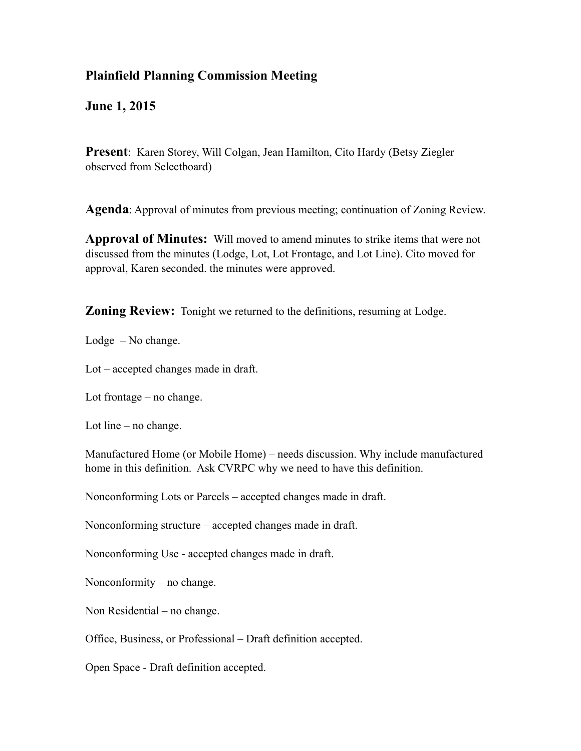## **Plainfield Planning Commission Meeting**

**June 1, 2015**

**Present**: Karen Storey, Will Colgan, Jean Hamilton, Cito Hardy (Betsy Ziegler) observed from Selectboard)

**Agenda**: Approval of minutes from previous meeting; continuation of Zoning Review.

**Approval of Minutes:** Will moved to amend minutes to strike items that were not discussed from the minutes (Lodge, Lot, Lot Frontage, and Lot Line). Cito moved for approval, Karen seconded. the minutes were approved.

**Zoning Review:** Tonight we returned to the definitions, resuming at Lodge.

Lodge – No change.

Lot – accepted changes made in draft.

Lot frontage – no change.

Lot line – no change.

Manufactured Home (or Mobile Home) – needs discussion. Why include manufactured home in this definition. Ask CVRPC why we need to have this definition.

Nonconforming Lots or Parcels – accepted changes made in draft.

Nonconforming structure – accepted changes made in draft.

Nonconforming Use - accepted changes made in draft.

Nonconformity – no change.

Non Residential – no change.

Office, Business, or Professional – Draft definition accepted.

Open Space - Draft definition accepted.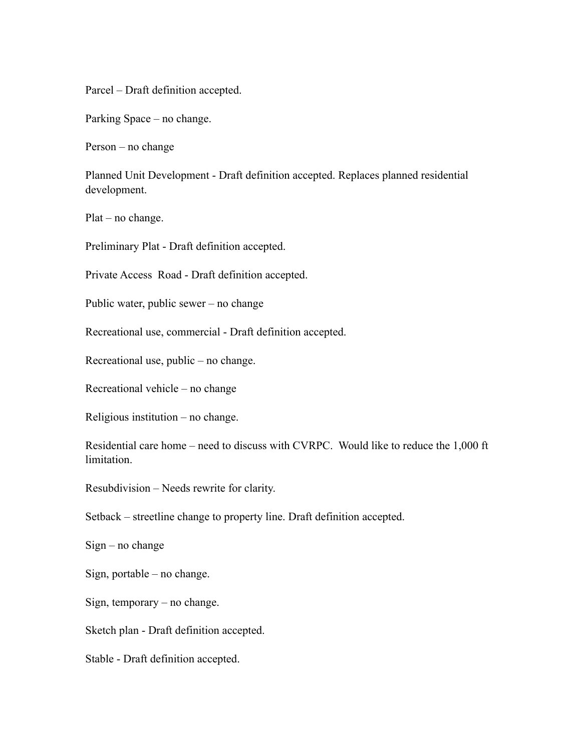Parcel – Draft definition accepted.

Parking Space – no change.

Person – no change

Planned Unit Development - Draft definition accepted. Replaces planned residential development.

Plat – no change.

Preliminary Plat - Draft definition accepted.

Private Access Road - Draft definition accepted.

Public water, public sewer – no change

Recreational use, commercial - Draft definition accepted.

Recreational use, public – no change.

Recreational vehicle – no change

Religious institution – no change.

Residential care home – need to discuss with CVRPC. Would like to reduce the 1,000 ft limitation.

Resubdivision – Needs rewrite for clarity.

Setback – streetline change to property line. Draft definition accepted.

Sign – no change

Sign, portable – no change.

Sign, temporary – no change.

Sketch plan - Draft definition accepted.

Stable - Draft definition accepted.